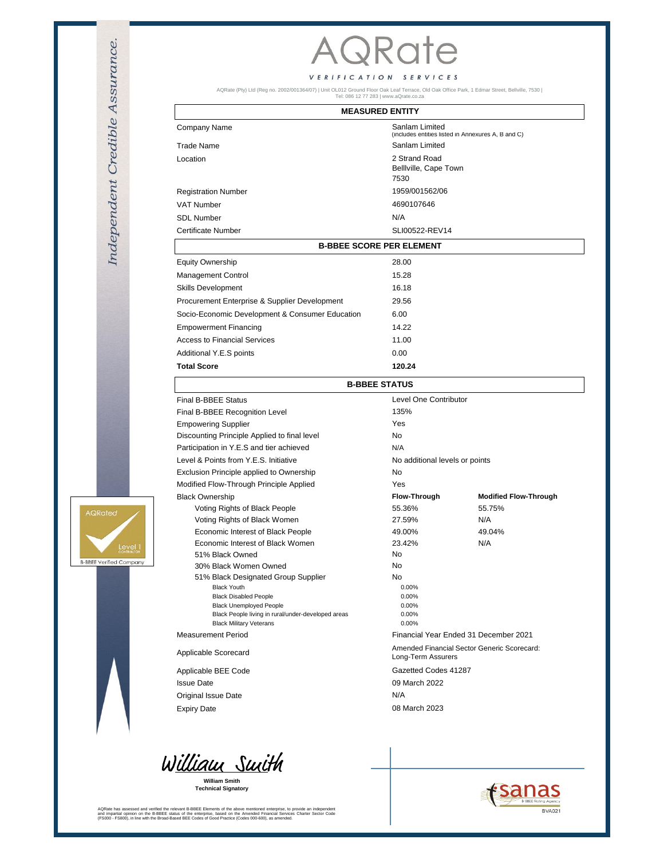# **AQRate**

### VERIFICATION SERVICES

AQRate (Pty) Ltd (Reg no. 2002/001364/07) | Unit OL012 Ground Floor Oak Leaf Terrace, Old Oak Office Park, 1 Edmar Street, Bellville, 7530 | Tel: 086 12 77 283 | www.aQrate.co.za

### **MEASURED ENTITY**

| Company Name                                    | Sanlam Limited<br>(includes entities listed in Annexures A, B and C)<br>Sanlam Limited<br>2 Strand Road<br>Belliville, Cape Town<br>7530 |  |
|-------------------------------------------------|------------------------------------------------------------------------------------------------------------------------------------------|--|
| <b>Trade Name</b>                               |                                                                                                                                          |  |
| Location                                        |                                                                                                                                          |  |
| <b>Registration Number</b>                      | 1959/001562/06                                                                                                                           |  |
| <b>VAT Number</b>                               | 4690107646                                                                                                                               |  |
| <b>SDL Number</b>                               | N/A                                                                                                                                      |  |
| <b>Certificate Number</b>                       | SLI00522-REV14                                                                                                                           |  |
| <b>B-BBEE SCORE PER ELEMENT</b>                 |                                                                                                                                          |  |
| <b>Equity Ownership</b>                         | 28.00                                                                                                                                    |  |
| <b>Management Control</b>                       | 15.28                                                                                                                                    |  |
| Skills Development                              | 16.18                                                                                                                                    |  |
| Procurement Enterprise & Supplier Development   | 29.56                                                                                                                                    |  |
| Socio-Economic Development & Consumer Education | 6.00                                                                                                                                     |  |
| <b>Empowerment Financing</b>                    | 14.22                                                                                                                                    |  |
| Access to Financial Services                    | 11.00                                                                                                                                    |  |
| Additional Y.E.S points                         | 0.00                                                                                                                                     |  |
| <b>Total Score</b>                              | 120.24                                                                                                                                   |  |

| <b>B-BBEE STATUS</b>                               |                                                                   |                              |  |
|----------------------------------------------------|-------------------------------------------------------------------|------------------------------|--|
| <b>Final B-BBEE Status</b>                         | Level One Contributor                                             |                              |  |
| Final B-BBEE Recognition Level                     | 135%                                                              |                              |  |
| <b>Empowering Supplier</b>                         | Yes                                                               |                              |  |
| Discounting Principle Applied to final level       | <b>No</b>                                                         |                              |  |
| Participation in Y.E.S and tier achieved           | N/A                                                               |                              |  |
| Level & Points from Y.E.S. Initiative              | No additional levels or points                                    |                              |  |
| Exclusion Principle applied to Ownership           | <b>No</b>                                                         |                              |  |
| Modified Flow-Through Principle Applied            | Yes                                                               |                              |  |
| <b>Black Ownership</b>                             | <b>Flow-Through</b>                                               | <b>Modified Flow-Through</b> |  |
| Voting Rights of Black People                      | 55.36%                                                            | 55.75%                       |  |
| Voting Rights of Black Women                       | 27.59%                                                            | N/A                          |  |
| Economic Interest of Black People                  | 49.00%                                                            | 49.04%                       |  |
| Economic Interest of Black Women                   | 23.42%                                                            | N/A                          |  |
| 51% Black Owned                                    | N <sub>0</sub>                                                    |                              |  |
| 30% Black Women Owned                              | <b>No</b>                                                         |                              |  |
| 51% Black Designated Group Supplier                | No.                                                               |                              |  |
| <b>Black Youth</b><br><b>Black Disabled People</b> | 0.00%<br>0.00%                                                    |                              |  |
| <b>Black Unemployed People</b>                     | 0.00%                                                             |                              |  |
| Black People living in rural/under-developed areas | 0.00%                                                             |                              |  |
| <b>Black Military Veterans</b>                     | $0.00\%$                                                          |                              |  |
| Measurement Period                                 | Financial Year Ended 31 December 2021                             |                              |  |
| Applicable Scorecard                               | Amended Financial Sector Generic Scorecard:<br>Long-Term Assurers |                              |  |
| Applicable BEE Code                                | Gazetted Codes 41287                                              |                              |  |
| <b>Issue Date</b>                                  | 09 March 2022                                                     |                              |  |
| Original Issue Date                                | N/A                                                               |                              |  |
| <b>Expiry Date</b>                                 | 08 March 2023                                                     |                              |  |



**Technical Signatory William Smith**

AQRate has assessed and verified the relevant B-BBEE Elements of the above mentioned enterprise, to provide an independent<br>and impartial opinion on the B-BBEE status of the enterprise, based on the Amended Financial Servic





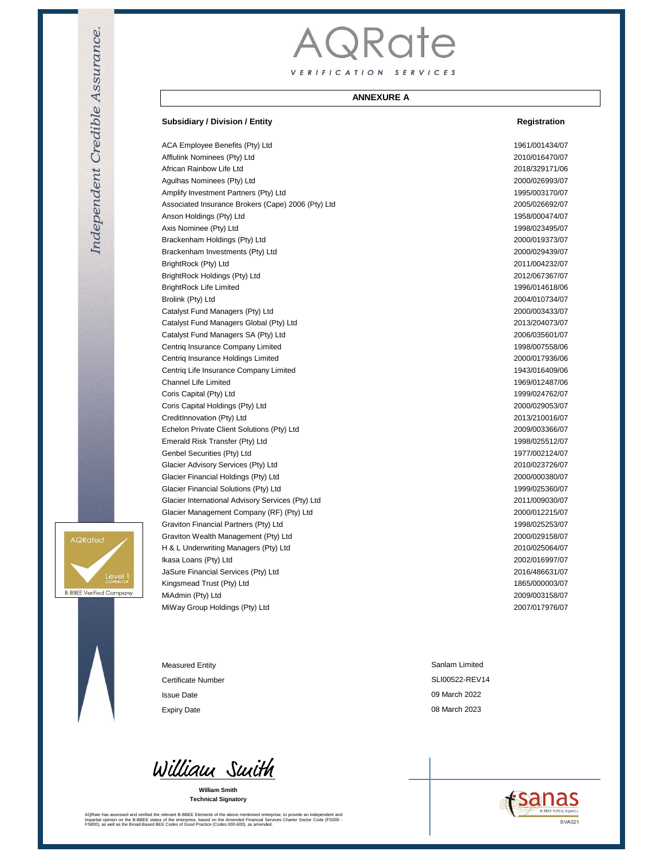# AQRate VERIFICATION SERVICES

### **ANNEXURE A**

#### **Subsidiary / Division / Entity Registration**

ACA Employee Benefits (Pty) Ltd 1961/001434/07 Afflulink Nominees (Pty) Ltd 2010/016470/07 African Rainbow Life Ltd 2018/329171/06 Agulhas Nominees (Pty) Ltd 2000/026993/07 Amplify Investment Partners (Pty) Ltd 1995/003170/07 Associated Insurance Brokers (Cape) 2006 (Pty) Ltd 2005/026692/07 Anson Holdings (Pty) Ltd 1958/000474/07 Axis Nominee (Pty) Ltd 1998/023495/07 Brackenham Holdings (Pty) Ltd 2000/019373/07 Brackenham Investments (Pty) Ltd 2000/029439/07 BrightRock (Pty) Ltd 2011/004232/07 BrightRock Holdings (Pty) Ltd 2012/067367/07 BrightRock Life Limited 1996/014618/06 Brolink (Pty) Ltd 2004/010734/07 Catalyst Fund Managers (Pty) Ltd 2000/003433/07 Catalyst Fund Managers Global (Pty) Ltd 2013/204073/07 Catalyst Fund Managers SA (Pty) Ltd 2006/035601/07 Centriq Insurance Company Limited 1998/007558/06 Centriq Insurance Holdings Limited 2000/017936/06 Centriq Life Insurance Company Limited 1943/016409/06 Channel Life Limited 1969/012487/06 Coris Capital (Pty) Ltd 1999/024762/07 Coris Capital Holdings (Pty) Ltd 2000/029053/07 CreditInnovation (Pty) Ltd 2013/210016/07 Echelon Private Client Solutions (Pty) Ltd 2009/003366/07 Emerald Risk Transfer (Pty) Ltd 1998/025512/07 Genbel Securities (Pty) Ltd 1977/002124/07 Glacier Advisory Services (Pty) Ltd 2010/023726/07 Glacier Financial Holdings (Pty) Ltd 2000/000380/07 Glacier Financial Solutions (Pty) Ltd 1999/025360/07 Glacier International Advisory Services (Pty) Ltd 2011/009030/07 Glacier Management Company (RF) (Pty) Ltd 2000/012215/07 Graviton Financial Partners (Pty) Ltd 1998/025253/07 Graviton Wealth Management (Pty) Ltd 2000/029158/07 H & L Underwriting Managers (Pty) Ltd 2010/025064/07 Ikasa Loans (Pty) Ltd 2002/016997/07 JaSure Financial Services (Pty) Ltd 2016/486631/07 Kingsmead Trust (Pty) Ltd 1865/000003/07 MiAdmin (Pty) Ltd 2009/003158/07 MiWay Group Holdings (Pty) Ltd 2007/017976/07

Measured Entity Certificate Number Issue Date Expiry Date

William Suith

**William Smith Technical Signatory**

AQRate has assessed and verified the relevant B-BBEE Elements of the above mentioned enterprise, to provide an independent and<br>impartial opinion on the B-BBEE status of the enterprise, based on the Amended Financial Servic

SLI00522-REV14 Sanlam Limited 08 March 2023 09 March 2022





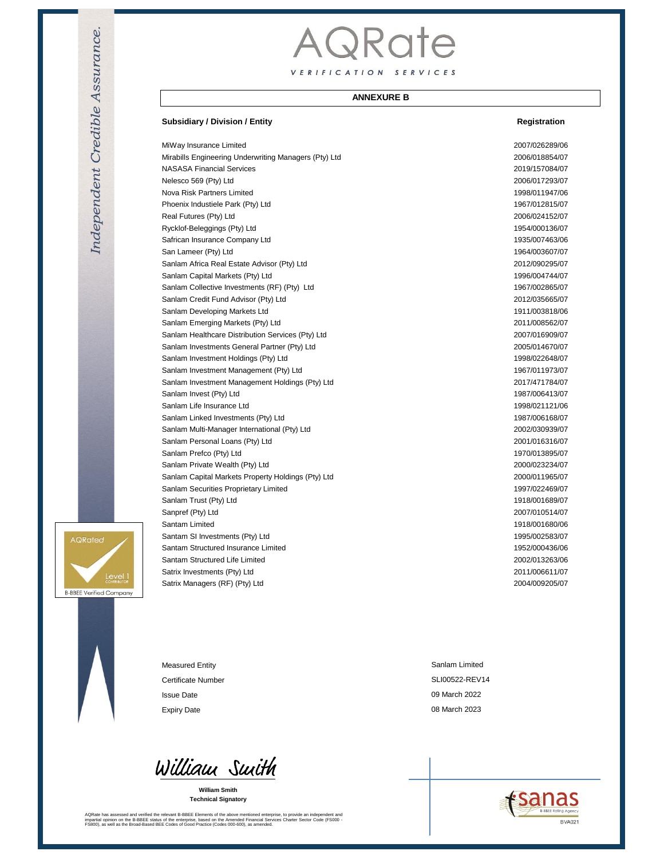# AQRate VERIFICATION SERVICES

### **ANNEXURE B**

#### **Subsidiary / Division / Entity Registration**

MiWay Insurance Limited 2007/026289/06 Mirabills Engineering Underwriting Managers (Pty) Ltd 2006/018854/07 NASASA Financial Services 2019/157084/07 Nelesco 569 (Pty) Ltd 2006/017293/07 Nova Risk Partners Limited 1998/011947/06 Phoenix Industiele Park (Pty) Ltd 1967/012815/07 Real Futures (Pty) Ltd 2006/024152/07 Rycklof-Beleggings (Pty) Ltd 1954/000136/07 Safrican Insurance Company Ltd 1935/007463/06 San Lameer (Pty) Ltd 1964/003607/07 Sanlam Africa Real Estate Advisor (Pty) Ltd 2012/090295/07 Sanlam Capital Markets (Pty) Ltd 1996/004744/07 Sanlam Collective Investments (RF) (Pty) Ltd 1967/002865/07 Sanlam Credit Fund Advisor (Pty) Ltd 2012/035665/07 Sanlam Developing Markets Ltd 1911/003818/06 Sanlam Emerging Markets (Pty) Ltd 2011/008562/07 Sanlam Healthcare Distribution Services (Pty) Ltd 2007/016909/07 Sanlam Investments General Partner (Pty) Ltd 2005/014670/07 Sanlam Investment Holdings (Pty) Ltd 1998/022648/07 Sanlam Investment Management (Pty) Ltd 1967/011973/07 Sanlam Investment Management Holdings (Pty) Ltd 2017/471784/07 Sanlam Invest (Pty) Ltd 1987/006413/07 Sanlam Life Insurance Ltd 1998/021121/06 Sanlam Linked Investments (Pty) Ltd 1987/006168/07 Sanlam Multi-Manager International (Pty) Ltd 2002/030939/07 Sanlam Personal Loans (Pty) Ltd 2001/016316/07 Sanlam Prefco (Pty) Ltd 1970/013895/07 Sanlam Private Wealth (Pty) Ltd 2000/023234/07 Sanlam Capital Markets Property Holdings (Pty) Ltd 2000/011965/07 Sanlam Securities Proprietary Limited 1997/022469/07 Sanlam Trust (Pty) Ltd 1918/001689/07 Sanpref (Pty) Ltd 2007/010514/07 Santam Limited 1918/001680/06 Santam SI Investments (Pty) Ltd 1995/002583/07 Santam Structured Insurance Limited 1952/000436/06 Santam Structured Life Limited 2002/013263/06 Satrix Investments (Pty) Ltd 2011/006611/07

Satrix Managers (RF) (Pty) Ltd 2004/009205/07

AQRated **B-BBEE Verified Company** 

Measured Entity Certificate Number Issue Date Expiry Date **Data Controllers** Controllers and Controllers Controllers Controllers Controllers Controllers Controllers Controllers Controllers Controllers Controllers Controllers Controllers Controllers Controllers Control

William Smith

**William Smith Technical Signatory**

AQRate has assessed and verified the relevant B-BBEE Elements of the above mentioned enterprise, to provide an independent and<br>impartial opinion on the B-BBEE status of the enterprise, based on the Amended Financial Servic

Sanlam Limited SLI00522-REV14 09 March 2022